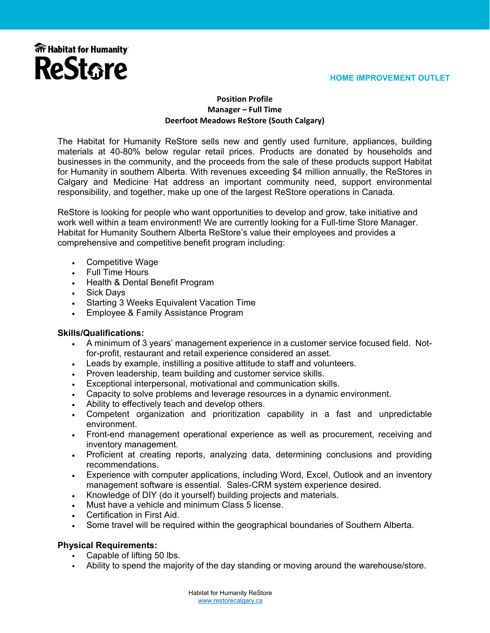

#### **Position Profile Manager – Full Time Deerfoot Meadows ReStore (South Calgary)**

The Habitat for Humanity ReStore sells new and gently used furniture, appliances, building materials at 40-80% below regular retail prices. Products are donated by households and businesses in the community, and the proceeds from the sale of these products support Habitat for Humanity in southern Alberta. With revenues exceeding \$4 million annually, the ReStores in Calgary and Medicine Hat address an important community need, support environmental responsibility, and together, make up one of the largest ReStore operations in Canada.

ReStore is looking for people who want opportunities to develop and grow, take initiative and work well within a team environment! We are currently looking for a Full-time Store Manager. Habitat for Humanity Southern Alberta ReStore's value their employees and provides a comprehensive and competitive benefit program including:

- Competitive Wage
- Full Time Hours
- Health & Dental Benefit Program
- Sick Days
- Starting 3 Weeks Equivalent Vacation Time
- Employee & Family Assistance Program

#### **Skills/Qualifications:**

- A minimum of 3 years' management experience in a customer service focused field. Notfor-profit, restaurant and retail experience considered an asset.
- Leads by example, instilling a positive attitude to staff and volunteers.
- Proven leadership, team building and customer service skills.
- Exceptional interpersonal, motivational and communication skills.
- Capacity to solve problems and leverage resources in a dynamic environment.
- Ability to effectively teach and develop others.
- Competent organization and prioritization capability in a fast and unpredictable environment.
- Front-end management operational experience as well as procurement, receiving and inventory management.
- Proficient at creating reports, analyzing data, determining conclusions and providing recommendations.
- Experience with computer applications, including Word, Excel, Outlook and an inventory management software is essential. Sales-CRM system experience desired.
- Knowledge of DIY (do it yourself) building projects and materials.
- Must have a vehicle and minimum Class 5 license.
- Certification in First Aid.
- Some travel will be required within the geographical boundaries of Southern Alberta.

# **Physical Requirements:**

- Capable of lifting 50 lbs.
- Ability to spend the majority of the day standing or moving around the warehouse/store.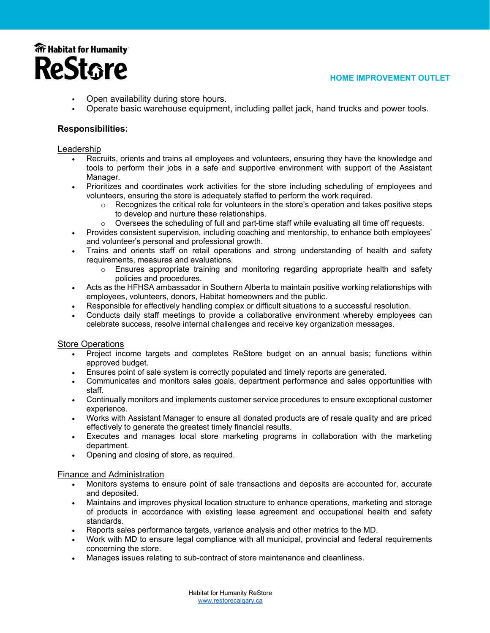

- Open availability during store hours.
- Operate basic warehouse equipment, including pallet jack, hand trucks and power tools.

# **Responsibilities:**

### Leadership

- Recruits, orients and trains all employees and volunteers, ensuring they have the knowledge and tools to perform their jobs in a safe and supportive environment with support of the Assistant Manager.
- Prioritizes and coordinates work activities for the store including scheduling of employees and volunteers, ensuring the store is adequately staffed to perform the work required.
	- $\circ$  Recognizes the critical role for volunteers in the store's operation and takes positive steps to develop and nurture these relationships.
	- $\circ$  Oversees the scheduling of full and part-time staff while evaluating all time off requests.
- Provides consistent supervision, including coaching and mentorship, to enhance both employees' and volunteer's personal and professional growth.
- Trains and orients staff on retail operations and strong understanding of health and safety requirements, measures and evaluations.
	- $\circ$  Ensures appropriate training and monitoring regarding appropriate health and safety policies and procedures.
- Acts as the HFHSA ambassador in Southern Alberta to maintain positive working relationships with employees, volunteers, donors, Habitat homeowners and the public.
- Responsible for effectively handling complex or difficult situations to a successful resolution.
- Conducts daily staff meetings to provide a collaborative environment whereby employees can celebrate success, resolve internal challenges and receive key organization messages.

# Store Operations

- Project income targets and completes ReStore budget on an annual basis; functions within approved budget.
- Ensures point of sale system is correctly populated and timely reports are generated.
- Communicates and monitors sales goals, department performance and sales opportunities with staff.
- Continually monitors and implements customer service procedures to ensure exceptional customer experience.
- Works with Assistant Manager to ensure all donated products are of resale quality and are priced effectively to generate the greatest timely financial results.
- Executes and manages local store marketing programs in collaboration with the marketing department.
- Opening and closing of store, as required.

# Finance and Administration

- Monitors systems to ensure point of sale transactions and deposits are accounted for, accurate and deposited.
- Maintains and improves physical location structure to enhance operations, marketing and storage of products in accordance with existing lease agreement and occupational health and safety standards.
- Reports sales performance targets, variance analysis and other metrics to the MD.
- Work with MD to ensure legal compliance with all municipal, provincial and federal requirements concerning the store.
- Manages issues relating to sub-contract of store maintenance and cleanliness.